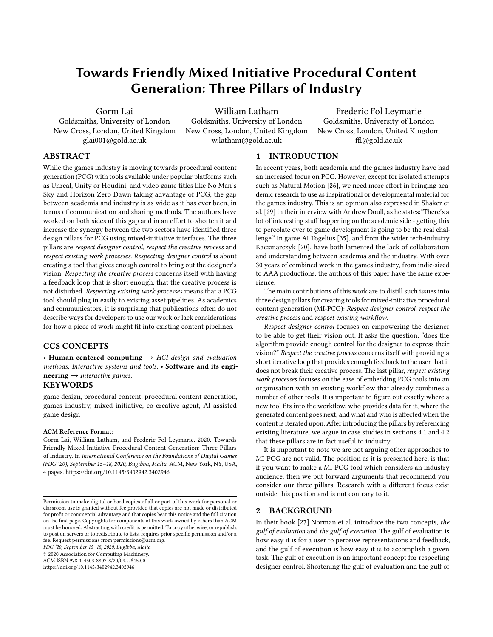# Towards Friendly Mixed Initiative Procedural Content Generation: Three Pillars of Industry

Gorm Lai

Goldsmiths, University of London New Cross, London, United Kingdom glai001@gold.ac.uk

William Latham Goldsmiths, University of London New Cross, London, United Kingdom w.latham@gold.ac.uk

Frederic Fol Leymarie Goldsmiths, University of London New Cross, London, United Kingdom ffl@gold.ac.uk

# ABSTRACT

While the games industry is moving towards procedural content generation (PCG) with tools available under popular platforms such as Unreal, Unity or Houdini, and video game titles like No Man's Sky and Horizon Zero Dawn taking advantage of PCG, the gap between academia and industry is as wide as it has ever been, in terms of communication and sharing methods. The authors have worked on both sides of this gap and in an effort to shorten it and increase the synergy between the two sectors have identified three design pillars for PCG using mixed-initiative interfaces. The three pillars are respect designer control, respect the creative process and respect existing work processes. Respecting designer control is about creating a tool that gives enough control to bring out the designer's vision. Respecting the creative process concerns itself with having a feedback loop that is short enough, that the creative process is not disturbed. Respecting existing work processes means that a PCG tool should plug in easily to existing asset pipelines. As academics and communicators, it is surprising that publications often do not describe ways for developers to use our work or lack considerations for how a piece of work might fit into existing content pipelines.

# CCS CONCEPTS

• Human-centered computing  $\rightarrow$  HCI design and evaluation methods; Interactive systems and tools; • Software and its engi- $\textbf{neering} \rightarrow \textit{Interactive games};$ 

# **KEYWORDS**

game design, procedural content, procedural content generation, games industry, mixed-initiative, co-creative agent, AI assisted game design

#### ACM Reference Format:

Gorm Lai, William Latham, and Frederic Fol Leymarie. 2020. Towards Friendly Mixed Initiative Procedural Content Generation: Three Pillars of Industry. In International Conference on the Foundations of Digital Games (FDG '20), September 15–18, 2020, Bugibba, Malta. ACM, New York, NY, USA, [4](#page-3-0) pages.<https://doi.org/10.1145/3402942.3402946>

FDG '20, September 15–18, 2020, Bugibba, Malta

© 2020 Association for Computing Machinery.

ACM ISBN 978-1-4503-8807-8/20/09. . . \$15.00

<https://doi.org/10.1145/3402942.3402946>

# 1 INTRODUCTION

In recent years, both academia and the games industry have had an increased focus on PCG. However, except for isolated attempts such as Natural Motion [\[26\]](#page-3-1), we need more effort in bringing academic research to use as inspirational or developmental material for the games industry. This is an opinion also expressed in Shaker et al. [\[29\]](#page-3-2) in their interview with Andrew Doull, as he states:"There's a lot of interesting stuff happening on the academic side - getting this to percolate over to game development is going to be the real challenge." In game AI Togelius [\[35\]](#page-3-3), and from the wider tech-industry Kaczmarczyk [\[20\]](#page-3-4), have both lamented the lack of collaboration and understanding between academia and the industry. With over 30 years of combined work in the games industry, from indie-sized to AAA productions, the authors of this paper have the same experience.

The main contributions of this work are to distill such issues into three design pillars for creating tools for mixed-initiative procedural content generation (MI-PCG): Respect designer control, respect the creative process and respect existing workflow.

Respect designer control focuses on empowering the designer to be able to get their vision out. It asks the question, "does the algorithm provide enough control for the designer to express their vision?" Respect the creative process concerns itself with providing a short iterative loop that provides enough feedback to the user that it does not break their creative process. The last pillar, respect existing work processes focuses on the ease of embedding PCG tools into an organisation with an existing workflow that already combines a number of other tools. It is important to figure out exactly where a new tool fits into the workflow, who provides data for it, where the generated content goes next, and what and who is affected when the content is iterated upon. After introducing the pillars by referencing existing literature, we argue in case studies in sections [4.1](#page-2-0) and [4.2](#page-2-1) that these pillars are in fact useful to industry.

It is important to note we are not arguing other approaches to MI-PCG are not valid. The position as it is presented here, is that if you want to make a MI-PCG tool which considers an industry audience, then we put forward arguments that recommend you consider our three pillars. Research with a different focus exist outside this position and is not contrary to it.

### 2 BACKGROUND

In their book [\[27\]](#page-3-5) Norman et al. introduce the two concepts, the gulf of evaluation and the gulf of execution. The gulf of evaluation is how easy it is for a user to perceive representations and feedback, and the gulf of execution is how easy it is to accomplish a given task. The gulf of execution is an important concept for respecting designer control. Shortening the gulf of evaluation and the gulf of

Permission to make digital or hard copies of all or part of this work for personal or classroom use is granted without fee provided that copies are not made or distributed for profit or commercial advantage and that copies bear this notice and the full citation on the first page. Copyrights for components of this work owned by others than ACM must be honored. Abstracting with credit is permitted. To copy otherwise, or republish, to post on servers or to redistribute to lists, requires prior specific permission and/or a fee. Request permissions from permissions@acm.org.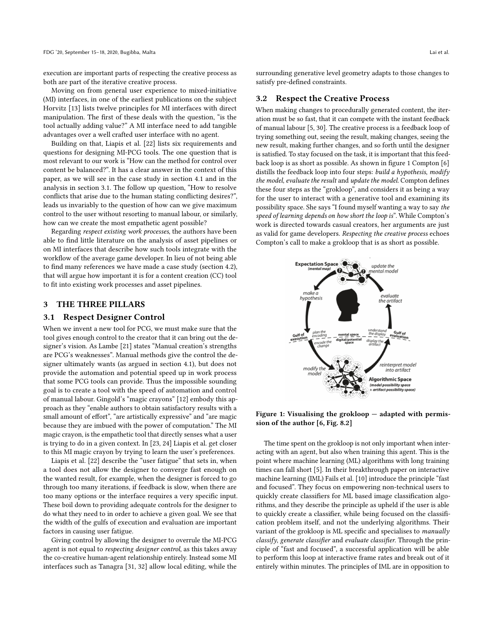execution are important parts of respecting the creative process as both are part of the iterative creative process.

Moving on from general user experience to mixed-initiative (MI) interfaces, in one of the earliest publications on the subject Horvitz [\[13\]](#page-3-6) lists twelve principles for MI interfaces with direct manipulation. The first of these deals with the question, "is the tool actually adding value?" A MI interface need to add tangible advantages over a well crafted user interface with no agent.

Building on that, Liapis et al. [\[22\]](#page-3-7) lists six requirements and questions for designing MI-PCG tools. The one question that is most relevant to our work is "How can the method for control over content be balanced?". It has a clear answer in the context of this paper, as we will see in the case study in section [4.1](#page-2-0) and in the analysis in section [3.1.](#page-1-0) The follow up question, "How to resolve conflicts that arise due to the human stating conflicting desires?", leads us invariably to the question of how can we give maximum control to the user without resorting to manual labour, or similarly, how can we create the most empathetic agent possible?

Regarding respect existing work processes, the authors have been able to find little literature on the analysis of asset pipelines or on MI interfaces that describe how such tools integrate with the workflow of the average game developer. In lieu of not being able to find many references we have made a case study (section [4.2\)](#page-2-1), that will argue how important it is for a content creation (CC) tool to fit into existing work processes and asset pipelines.

#### 3 THE THREE PILLARS

#### <span id="page-1-0"></span>3.1 Respect Designer Control

When we invent a new tool for PCG, we must make sure that the tool gives enough control to the creator that it can bring out the designer's vision. As Lambe [\[21\]](#page-3-8) states "Manual creation's strengths are PCG's weaknesses". Manual methods give the control the designer ultimately wants (as argued in section [4.1\)](#page-2-0), but does not provide the automation and potential speed up in work process that some PCG tools can provide. Thus the impossible sounding goal is to create a tool with the speed of automation and control of manual labour. Gingold's "magic crayons" [\[12\]](#page-3-9) embody this approach as they "enable authors to obtain satisfactory results with a small amount of effort", "are artistically expressive" and "are magic because they are imbued with the power of computation." The MI magic crayon, is the empathetic tool that directly senses what a user is trying to do in a given context. In [\[23,](#page-3-10) [24\]](#page-3-11) Liapis et al. get closer to this MI magic crayon by trying to learn the user's preferences.

Liapis et al. [\[22\]](#page-3-7) describe the "user fatigue" that sets in, when a tool does not allow the designer to converge fast enough on the wanted result, for example, when the designer is forced to go through too many iterations, if feedback is slow, when there are too many options or the interface requires a very specific input. These boil down to providing adequate controls for the designer to do what they need to in order to achieve a given goal. We see that the width of the gulfs of execution and evaluation are important factors in causing user fatigue.

Giving control by allowing the designer to overrule the MI-PCG agent is not equal to respecting designer control, as this takes away the co-creative human-agent relationship entirely. Instead some MI interfaces such as Tanagra [\[31,](#page-3-12) [32\]](#page-3-13) allow local editing, while the surrounding generative level geometry adapts to those changes to satisfy pre-defined constraints.

#### 3.2 Respect the Creative Process

When making changes to procedurally generated content, the iteration must be so fast, that it can compete with the instant feedback of manual labour [\[5,](#page-3-14) [30\]](#page-3-15). The creative process is a feedback loop of trying something out, seeing the result, making changes, seeing the new result, making further changes, and so forth until the designer is satisfied. To stay focused on the task, it is important that this feedback loop is as short as possible. As shown in figure [1](#page-1-1) Compton [\[6\]](#page-3-16) distills the feedback loop into four steps: build a hypothesis, modify the model, evaluate the result and update the model. Compton defines these four steps as the "grokloop", and considers it as being a way for the user to interact with a generative tool and examining its possibility space. She says "I found myself wanting a way to say the speed of learning depends on how short the loop is". While Compton's work is directed towards casual creators, her arguments are just as valid for game developers. Respecting the creative process echoes Compton's call to make a grokloop that is as short as possible.

<span id="page-1-1"></span>

Figure 1: Visualising the grokloop — adapted with permission of the author [\[6,](#page-3-16) Fig. 8.2]

The time spent on the grokloop is not only important when interacting with an agent, but also when training this agent. This is the point where machine learning (ML) algorithms with long training times can fall short [\[5\]](#page-3-14). In their breakthrough paper on interactive machine learning (IML) Fails et al. [\[10\]](#page-3-17) introduce the principle "fast and focused". They focus on empowering non-technical users to quickly create classifiers for ML based image classification algorithms, and they describe the principle as upheld if the user is able to quickly create a classifier, while being focused on the classification problem itself, and not the underlying algorithms. Their variant of the grokloop is ML specific and specialises to manually classify, generate classifier and evaluate classifier. Through the principle of "fast and focused", a successful application will be able to perform this loop at interactive frame rates and break out of it entirely within minutes. The principles of IML are in opposition to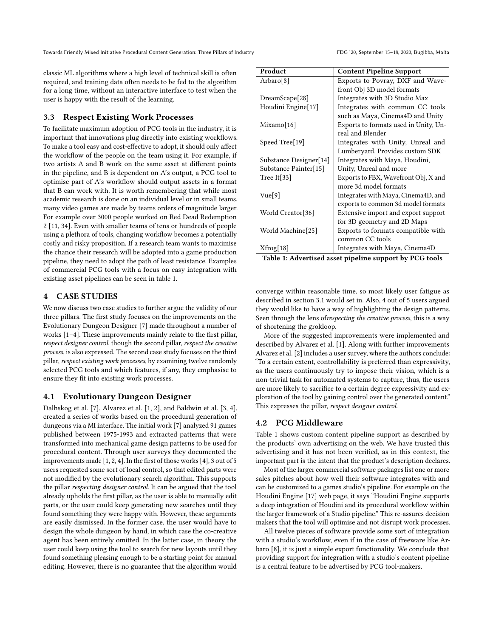Towards Friendly Mixed Initiative Procedural Content Generation: Three Pillars of Industry FDG '20, September 15-18, 2020, Bugibba, Malta

classic ML algorithms where a high level of technical skill is often required, and training data often needs to be fed to the algorithm for a long time, without an interactive interface to test when the user is happy with the result of the learning.

#### 3.3 Respect Existing Work Processes

To facilitate maximum adoption of PCG tools in the industry, it is important that innovations plug directly into existing workflows. To make a tool easy and cost-effective to adopt, it should only affect the workflow of the people on the team using it. For example, if two artists A and B work on the same asset at different points in the pipeline, and B is dependent on A's output, a PCG tool to optimise part of A's workflow should output assets in a format that B can work with. It is worth remembering that while most academic research is done on an individual level or in small teams, many video games are made by teams orders of magnitude larger. For example over 3000 people worked on Red Dead Redemption 2 [\[11,](#page-3-18) [34\]](#page-3-19). Even with smaller teams of tens or hundreds of people using a plethora of tools, changing workflow becomes a potentially costly and risky proposition. If a research team wants to maximise the chance their research will be adopted into a game production pipeline, they need to adopt the path of least resistance. Examples of commercial PCG tools with a focus on easy integration with existing asset pipelines can be seen in table [1.](#page-2-2)

## 4 CASE STUDIES

We now discuss two case studies to further argue the validity of our three pillars. The first study focuses on the improvements on the Evolutionary Dungeon Designer [\[7\]](#page-3-20) made throughout a number of works [\[1–](#page-3-21)[4\]](#page-3-22). These improvements mainly relate to the first pillar, respect designer control, though the second pillar, respect the creative process, is also expressed. The second case study focuses on the third pillar, respect existing work processes, by examining twelve randomly selected PCG tools and which features, if any, they emphasise to ensure they fit into existing work processes.

#### <span id="page-2-0"></span>4.1 Evolutionary Dungeon Designer

Dalhskog et al. [\[7\]](#page-3-20), Alvarez et al. [\[1,](#page-3-21) [2\]](#page-3-23), and Baldwin et al. [\[3,](#page-3-24) [4\]](#page-3-22), created a series of works based on the procedural generation of dungeons via a MI interface. The initial work [\[7\]](#page-3-20) analyzed 91 games published between 1975-1993 and extracted patterns that were transformed into mechanical game design patterns to be used for procedural content. Through user surveys they documented the improvements made [\[1,](#page-3-21) [2,](#page-3-23) [4\]](#page-3-22). In the first of those works [\[4\]](#page-3-22), 3 out of 5 users requested some sort of local control, so that edited parts were not modified by the evolutionary search algorithm. This supports the pillar respecting designer control. It can be argued that the tool already upholds the first pillar, as the user is able to manually edit parts, or the user could keep generating new searches until they found something they were happy with. However, these arguments are easily dismissed. In the former case, the user would have to design the whole dungeon by hand, in which case the co-creative agent has been entirely omitted. In the latter case, in theory the user could keep using the tool to search for new layouts until they found something pleasing enough to be a starting point for manual editing. However, there is no guarantee that the algorithm would

<span id="page-2-2"></span>

| Product                    | <b>Content Pipeline Support</b>       |
|----------------------------|---------------------------------------|
| Arbaro <sup>[8]</sup>      | Exports to Povray, DXF and Wave-      |
|                            | front Obj 3D model formats            |
| DreamScape[28]             | Integrates with 3D Studio Max         |
| Houdini Engine[17]         | Integrates with common CC tools       |
|                            | such as Maya, Cinema4D and Unity      |
| Mixamo[16]                 | Exports to formats used in Unity, Un- |
|                            | real and Blender                      |
| Speed Tree <sup>[19]</sup> | Integrates with Unity, Unreal and     |
|                            | Lumberyard. Provides custom SDK       |
| Substance Designer[14]     | Integrates with Maya, Houdini,        |
| Substance Painter[15]      | Unity, Unreal and more                |
| Tree It $[33]$             | Exports to FBX, Wavefront Obj, X and  |
|                            | more 3d model formats                 |
| Vue[9]                     | Integrates with Maya, Cinema4D, and   |
|                            | exports to common 3d model formats    |
| World Creator[36]          | Extensive import and export support   |
|                            | for 3D geometry and 2D Maps           |
| World Machine[25]          | Exports to formats compatible with    |
|                            | common CC tools                       |
| Xfrog[18]                  | Integrates with Maya, Cinema4D        |
| -----                      | $\cdots$                              |

Table 1: Advertised asset pipeline support by PCG tools

converge within reasonable time, so most likely user fatigue as described in section [3.1](#page-1-0) would set in. Also, 4 out of 5 users argued they would like to have a way of highlighting the design patterns. Seen through the lens ofrespecting the creative process, this is a way of shortening the grokloop.

More of the suggested improvements were implemented and described by Alvarez et al. [\[1\]](#page-3-21). Along with further improvements Alvarez et al. [\[2\]](#page-3-23) includes a user survey, where the authors conclude: "To a certain extent, controllability is preferred than expressivity, as the users continuously try to impose their vision, which is a non-trivial task for automated systems to capture, thus, the users are more likely to sacrifice to a certain degree expressivity and exploration of the tool by gaining control over the generated content." This expresses the pillar, respect designer control.

#### <span id="page-2-1"></span>4.2 PCG Middleware

Table [1](#page-2-2) shows custom content pipeline support as described by the products' own advertising on the web. We have trusted this advertising and it has not been verified, as in this context, the important part is the intent that the product's description declares.

Most of the larger commercial software packages list one or more sales pitches about how well their software integrates with and can be customized to a games studio's pipeline. For example on the Houdini Engine [\[17\]](#page-3-27) web page, it says "Houdini Engine supports a deep integration of Houdini and its procedural workflow within the larger framework of a Studio pipeline." This re-assures decision makers that the tool will optimise and not disrupt work processes.

All twelve pieces of software provide some sort of integration with a studio's workflow, even if in the case of freeware like Arbaro [\[8\]](#page-3-25), it is just a simple export functionality. We conclude that providing support for integration with a studio's content pipeline is a central feature to be advertised by PCG tool-makers.